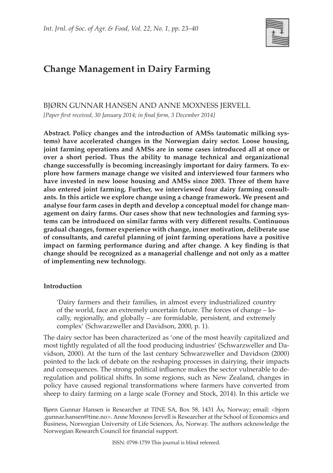

# **Change Management in Dairy Farming**

BJØRN GUNNAR HANSEN AND ANNE MOXNESS JERVELL *[Paper first received, 30 January 2014; in final form, 3 December 2014]*

**Abstract. Policy changes and the introduction of AMSs (automatic milking systems) have accelerated changes in the Norwegian dairy sector. Loose housing, joint farming operations and AMSs are in some cases introduced all at once or over a short period. Thus the ability to manage technical and organizational change successfully is becoming increasingly important for dairy farmers. To explore how farmers manage change we visited and interviewed four farmers who have invested in new loose housing and AMSs since 2003. Three of them have also entered joint farming. Further, we interviewed four dairy farming consultants. In this article we explore change using a change framework. We present and analyse four farm cases in depth and develop a conceptual model for change management on dairy farms. Our cases show that new technologies and farming systems can be introduced on similar farms with very different results. Continuous gradual changes, former experience with change, inner motivation, deliberate use of consultants, and careful planning of joint farming operations have a positive impact on farming performance during and after change. A key finding is that change should be recognized as a managerial challenge and not only as a matter of implementing new technology.**

# **Introduction**

'Dairy farmers and their families, in almost every industrialized country of the world, face an extremely uncertain future. The forces of change – locally, regionally, and globally – are formidable, persistent, and extremely complex' (Schwarzweller and Davidson, 2000, p. 1).

The dairy sector has been characterized as 'one of the most heavily capitalized and most tightly regulated of all the food producing industries' (Schwarzweller and Davidson, 2000). At the turn of the last century Schwarzweller and Davidson (2000) pointed to the lack of debate on the reshaping processes in dairying, their impacts and consequences. The strong political influence makes the sector vulnerable to deregulation and political shifts. In some regions, such as New Zealand, changes in policy have caused regional transformations where farmers have converted from sheep to dairy farming on a large scale (Forney and Stock, 2014). In this article we

Bjørn Gunnar Hansen is Researcher at TINE SA, Box 58, 1431 Ås, Norway; email: <bjorn .gunnar.hansen@tine.no>. Anne Moxness Jervell is Researcher at the School of Economics and Business, Norwegian University of Life Sciences, Ås, Norway. The authors acknowledge the Norwegian Research Council for financial support.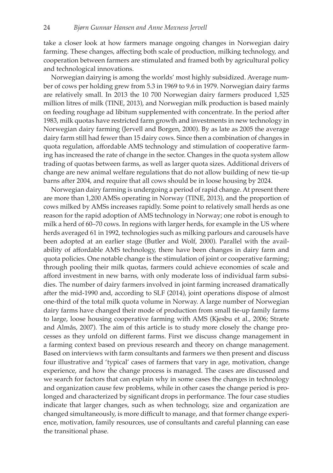take a closer look at how farmers manage ongoing changes in Norwegian dairy farming. These changes, affecting both scale of production, milking technology, and cooperation between farmers are stimulated and framed both by agricultural policy and technological innovations.

Norwegian dairying is among the worlds' most highly subsidized. Average number of cows per holding grew from 5.3 in 1969 to 9.6 in 1979. Norwegian dairy farms are relatively small. In 2013 the 10 700 Norwegian dairy farmers produced 1,525 million litres of milk (TINE, 2013), and Norwegian milk production is based mainly on feeding roughage ad libitum supplemented with concentrate. In the period after 1983, milk quotas have restricted farm growth and investments in new technology in Norwegian dairy farming (Jervell and Borgen, 2000). By as late as 2005 the average dairy farm still had fewer than 15 dairy cows. Since then a combination of changes in quota regulation, affordable AMS technology and stimulation of cooperative farming has increased the rate of change in the sector. Changes in the quota system allow trading of quotas between farms, as well as larger quota sizes. Additional drivers of change are new animal welfare regulations that do not allow building of new tie-up barns after 2004, and require that all cows should be in loose housing by 2024.

Norwegian dairy farming is undergoing a period of rapid change. At present there are more than 1,200 AMSs operating in Norway (TINE, 2013), and the proportion of cows milked by AMSs increases rapidly. Some point to relatively small herds as one reason for the rapid adoption of AMS technology in Norway; one robot is enough to milk a herd of 60–70 cows. In regions with larger herds, for example in the US where herds averaged 61 in 1992, technologies such as milking parlours and carousels have been adopted at an earlier stage (Butler and Wolf, 2000). Parallel with the availability of affordable AMS technology, there have been changes in dairy farm and quota policies. One notable change is the stimulation of joint or cooperative farming; through pooling their milk quotas, farmers could achieve economies of scale and afford investment in new barns, with only moderate loss of individual farm subsidies. The number of dairy farmers involved in joint farming increased dramatically after the mid-1990 and, according to SLF (2014), joint operations dispose of almost one-third of the total milk quota volume in Norway. A large number of Norwegian dairy farms have changed their mode of production from small tie-up family farms to large, loose housing cooperative farming with AMS (Kjesbu et al., 2006; Stræte and Almås, 2007). The aim of this article is to study more closely the change processes as they unfold on different farms. First we discuss change management in a farming context based on previous research and theory on change management. Based on interviews with farm consultants and farmers we then present and discuss four illustrative and 'typical' cases of farmers that vary in age, motivation, change experience, and how the change process is managed. The cases are discussed and we search for factors that can explain why in some cases the changes in technology and organization cause few problems, while in other cases the change period is prolonged and characterized by significant drops in performance. The four case studies indicate that larger changes, such as when technology, size and organization are changed simultaneously, is more difficult to manage, and that former change experience, motivation, family resources, use of consultants and careful planning can ease the transitional phase.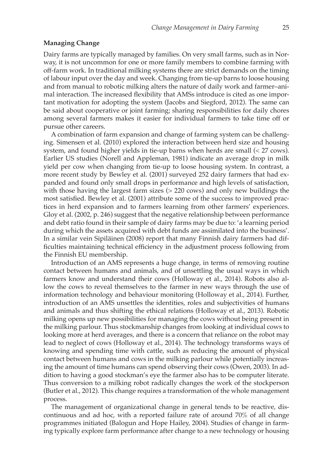#### **Managing Change**

Dairy farms are typically managed by families. On very small farms, such as in Norway, it is not uncommon for one or more family members to combine farming with off-farm work. In traditional milking systems there are strict demands on the timing of labour input over the day and week. Changing from tie-up barns to loose housing and from manual to robotic milking alters the nature of daily work and farmer–animal interaction. The increased flexibility that AMSs introduce is cited as one important motivation for adopting the system (Jacobs and Siegford, 2012). The same can be said about cooperative or joint farming; sharing responsibilities for daily chores among several farmers makes it easier for individual farmers to take time off or pursue other careers.

A combination of farm expansion and change of farming system can be challenging. Simensen et al. (2010) explored the interaction between herd size and housing system, and found higher yields in tie-up barns when herds are small (< 27 cows). Earlier US studies (Norell and Appleman, 1981) indicate an average drop in milk yield per cow when changing from tie-up to loose housing system. In contrast, a more recent study by Bewley et al. (2001) surveyed 252 dairy farmers that had expanded and found only small drops in performance and high levels of satisfaction, with those having the largest farm sizes (> 220 cows) and only new buildings the most satisfied. Bewley et al. (2001) attribute some of the success to improved practices in herd expansion and to farmers learning from other farmers' experiences. Gloy et al. (2002, p. 246) suggest that the negative relationship between performance and debt ratio found in their sample of dairy farms may be due to: 'a learning period during which the assets acquired with debt funds are assimilated into the business'. In a similar vein Sipiläinen (2008) report that many Finnish dairy farmers had difficulties maintaining technical efficiency in the adjustment process following from the Finnish EU membership.

Introduction of an AMS represents a huge change, in terms of removing routine contact between humans and animals, and of unsettling the usual ways in which farmers know and understand their cows (Holloway et al., 2014). Robots also allow the cows to reveal themselves to the farmer in new ways through the use of information technology and behaviour monitoring (Holloway et al., 2014). Further, introduction of an AMS unsettles the identities, roles and subjectivities of humans and animals and thus shifting the ethical relations (Holloway et al., 2013). Robotic milking opens up new possibilities for managing the cows without being present in the milking parlour. Thus stockmanship changes from looking at individual cows to looking more at herd averages, and there is a concern that reliance on the robot may lead to neglect of cows (Holloway et al., 2014). The technology transforms ways of knowing and spending time with cattle, such as reducing the amount of physical contact between humans and cows in the milking parlour while potentially increasing the amount of time humans can spend observing their cows (Owen, 2003). In addition to having a good stockman's eye the farmer also has to be computer literate. Thus conversion to a milking robot radically changes the work of the stockperson (Butler et al., 2012). This change requires a transformation of the whole management process.

The management of organizational change in general tends to be reactive, discontinuous and ad hoc, with a reported failure rate of around 70% of all change programmes initiated (Balogun and Hope Hailey, 2004). Studies of change in farming typically explore farm performance after change to a new technology or housing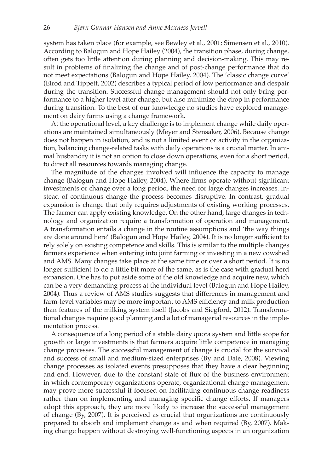system has taken place (for example, see Bewley et al., 2001; Simensen et al., 2010). According to Balogun and Hope Hailey (2004), the transition phase, during change, often gets too little attention during planning and decision-making. This may result in problems of finalizing the change and of post-change performance that do not meet expectations (Balogun and Hope Hailey, 2004). The 'classic change curve' (Elrod and Tippett, 2002) describes a typical period of low performance and despair during the transition. Successful change management should not only bring performance to a higher level after change, but also minimize the drop in performance during transition. To the best of our knowledge no studies have explored management on dairy farms using a change framework.

At the operational level, a key challenge is to implement change while daily operations are maintained simultaneously (Meyer and Stensaker, 2006). Because change does not happen in isolation, and is not a limited event or activity in the organization, balancing change-related tasks with daily operations is a crucial matter. In animal husbandry it is not an option to close down operations, even for a short period, to direct all resources towards managing change.

The magnitude of the changes involved will influence the capacity to manage change (Balogun and Hope Hailey, 2004). Where firms operate without significant investments or change over a long period, the need for large changes increases. Instead of continuous change the process becomes disruptive. In contrast, gradual expansion is change that only requires adjustments of existing working processes. The farmer can apply existing knowledge. On the other hand, large changes in technology and organization require a transformation of operation and management. A transformation entails a change in the routine assumptions and 'the way things are done around here' (Balogun and Hope Hailey, 2004). It is no longer sufficient to rely solely on existing competence and skills. This is similar to the multiple changes farmers experience when entering into joint farming or investing in a new cowshed and AMS. Many changes take place at the same time or over a short period. It is no longer sufficient to do a little bit more of the same, as is the case with gradual herd expansion. One has to put aside some of the old knowledge and acquire new, which can be a very demanding process at the individual level (Balogun and Hope Hailey, 2004). Thus a review of AMS studies suggests that differences in management and farm-level variables may be more important to AMS efficiency and milk production than features of the milking system itself (Jacobs and Siegford, 2012). Transformational changes require good planning and a lot of managerial resources in the implementation process.

A consequence of a long period of a stable dairy quota system and little scope for growth or large investments is that farmers acquire little competence in managing change processes. The successful management of change is crucial for the survival and success of small and medium-sized enterprises (By and Dale, 2008). Viewing change processes as isolated events presupposes that they have a clear beginning and end. However, due to the constant state of flux of the business environment in which contemporary organizations operate, organizational change management may prove more successful if focused on facilitating continuous change readiness rather than on implementing and managing specific change efforts. If managers adopt this approach, they are more likely to increase the successful management of change (By, 2007). It is perceived as crucial that organizations are continuously prepared to absorb and implement change as and when required (By, 2007). Making change happen without destroying well-functioning aspects in an organization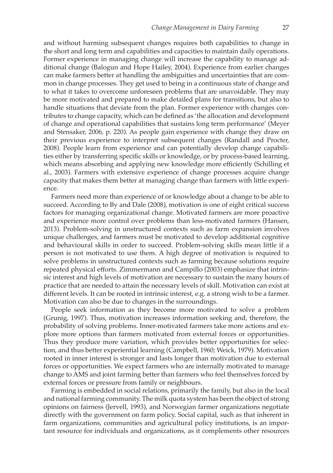and without harming subsequent changes requires both capabilities to change in the short and long term and capabilities and capacities to maintain daily operations. Former experience in managing change will increase the capability to manage additional change (Balogun and Hope Hailey, 2004). Experience from earlier changes can make farmers better at handling the ambiguities and uncertainties that are common in change processes. They get used to being in a continuous state of change and to what it takes to overcome unforeseen problems that are unavoidable. They may be more motivated and prepared to make detailed plans for transitions, but also to handle situations that deviate from the plan. Former experience with changes contributes to change capacity, which can be defined as 'the allocation and development of change and operational capabilities that sustains long term performance' (Meyer and Stensaker, 2006, p. 220). As people gain experience with change they draw on their previous experience to interpret subsequent changes (Randall and Procter, 2008). People learn from experience and can potentially develop change capabilities either by transferring specific skills or knowledge, or by process-based learning, which means absorbing and applying new knowledge more efficiently (Schilling et al., 2003). Farmers with extensive experience of change processes acquire change capacity that makes them better at managing change than farmers with little experience.

Farmers need more than experience of or knowledge about a change to be able to succeed. According to By and Dale (2008), motivation is one of eight critical success factors for managing organizational change. Motivated farmers are more proactive and experience more control over problems than less-motivated farmers (Hansen, 2013). Problem-solving in unstructured contexts such as farm expansion involves unique challenges, and farmers must be motivated to develop additional cognitive and behavioural skills in order to succeed. Problem-solving skills mean little if a person is not motivated to use them. A high degree of motivation is required to solve problems in unstructured contexts such as farming because solutions require repeated physical efforts. Zimmermann and Campillo (2003) emphasize that intrinsic interest and high levels of motivation are necessary to sustain the many hours of practice that are needed to attain the necessary levels of skill. Motivation can exist at different levels. It can be rooted in intrinsic interest, e.g. a strong wish to be a farmer. Motivation can also be due to changes in the surroundings.

People seek information as they become more motivated to solve a problem (Grunig, 1997). Thus, motivation increases information seeking and, therefore, the probability of solving problems. Inner-motivated farmers take more actions and explore more options than farmers motivated from external forces or opportunities. Thus they produce more variation, which provides better opportunities for selection, and thus better experiential learning (Campbell, 1960; Weick, 1979). Motivation rooted in inner interest is stronger and lasts longer than motivation due to external forces or opportunities. We expect farmers who are internally motivated to manage change to AMS and joint farming better than farmers who feel themselves forced by external forces or pressure from family or neighbours.

Farming is embedded in social relations, primarily the family, but also in the local and national farming community. The milk quota system has been the object of strong opinions on fairness (Jervell, 1993), and Norwegian farmer organizations negotiate directly with the government on farm policy. Social capital, such as that inherent in farm organizations, communities and agricultural policy institutions, is an important resource for individuals and organizations, as it complements other resources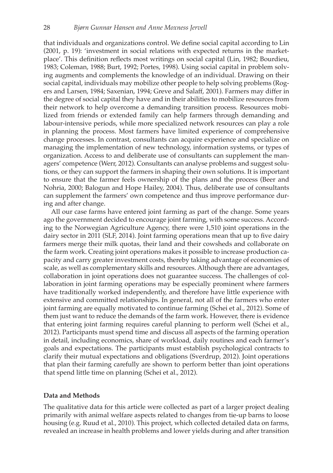that individuals and organizations control. We define social capital according to Lin (2001, p. 19): 'investment in social relations with expected returns in the marketplace'. This definition reflects most writings on social capital (Lin, 1982; Bourdieu, 1983; Coleman, 1988; Burt, 1992; Portes, 1998). Using social capital in problem solving augments and complements the knowledge of an individual. Drawing on their social capital, individuals may mobilize other people to help solving problems (Rogers and Larsen, 1984; Saxenian, 1994; Greve and Salaff, 2001). Farmers may differ in the degree of social capital they have and in their abilities to mobilize resources from their network to help overcome a demanding transition process. Resources mobilized from friends or extended family can help farmers through demanding and labour-intensive periods, while more specialized network resources can play a role in planning the process. Most farmers have limited experience of comprehensive change processes. In contrast, consultants can acquire experience and specialize on managing the implementation of new technology, information systems, or types of organization. Access to and deliberate use of consultants can supplement the managers' competence (Werr, 2012). Consultants can analyse problems and suggest solutions, or they can support the farmers in shaping their own solutions. It is important to ensure that the farmer feels ownership of the plans and the process (Beer and Nohria, 2000; Balogun and Hope Hailey, 2004). Thus, deliberate use of consultants can supplement the farmers' own competence and thus improve performance during and after change.

All our case farms have entered joint farming as part of the change. Some years ago the government decided to encourage joint farming, with some success. According to the Norwegian Agriculture Agency, there were 1,510 joint operations in the dairy sector in 2011 (SLF, 2014). Joint farming operations mean that up to five dairy farmers merge their milk quotas, their land and their cowsheds and collaborate on the farm work. Creating joint operations makes it possible to increase production capacity and carry greater investment costs, thereby taking advantage of economies of scale, as well as complementary skills and resources. Although there are advantages, collaboration in joint operations does not guarantee success. The challenges of collaboration in joint farming operations may be especially prominent where farmers have traditionally worked independently, and therefore have little experience with extensive and committed relationships. In general, not all of the farmers who enter joint farming are equally motivated to continue farming (Schei et al., 2012). Some of them just want to reduce the demands of the farm work. However, there is evidence that entering joint farming requires careful planning to perform well (Schei et al., 2012). Participants must spend time and discuss all aspects of the farming operation in detail, including economics, share of workload, daily routines and each farmer's goals and expectations. The participants must establish psychological contracts to clarify their mutual expectations and obligations (Sverdrup, 2012). Joint operations that plan their farming carefully are shown to perform better than joint operations that spend little time on planning (Schei et al., 2012).

#### **Data and Methods**

The qualitative data for this article were collected as part of a larger project dealing primarily with animal welfare aspects related to changes from tie-up barns to loose housing (e.g. Ruud et al., 2010). This project, which collected detailed data on farms, revealed an increase in health problems and lower yields during and after transition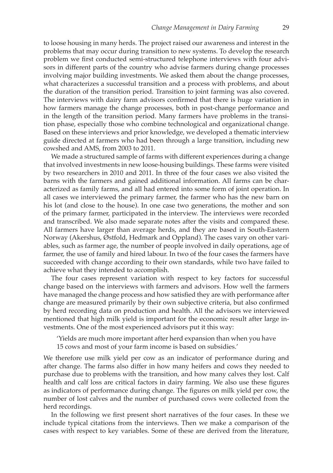to loose housing in many herds. The project raised our awareness and interest in the problems that may occur during transition to new systems. To develop the research problem we first conducted semi-structured telephone interviews with four advisors in different parts of the country who advise farmers during change processes involving major building investments. We asked them about the change processes, what characterizes a successful transition and a process with problems, and about the duration of the transition period. Transition to joint farming was also covered. The interviews with dairy farm advisors confirmed that there is huge variation in how farmers manage the change processes, both in post-change performance and in the length of the transition period. Many farmers have problems in the transition phase, especially those who combine technological and organizational change. Based on these interviews and prior knowledge, we developed a thematic interview guide directed at farmers who had been through a large transition, including new cowshed and AMS, from 2003 to 2011.

We made a structured sample of farms with different experiences during a change that involved investments in new loose-housing buildings. These farms were visited by two researchers in 2010 and 2011. In three of the four cases we also visited the barns with the farmers and gained additional information. All farms can be characterized as family farms, and all had entered into some form of joint operation. In all cases we interviewed the primary farmer, the farmer who has the new barn on his lot (and close to the house). In one case two generations, the mother and son of the primary farmer, participated in the interview. The interviews were recorded and transcribed. We also made separate notes after the visits and compared these. All farmers have larger than average herds, and they are based in South-Eastern Norway (Akershus, Østfold, Hedmark and Oppland). The cases vary on other variables, such as farmer age, the number of people involved in daily operations, age of farmer, the use of family and hired labour. In two of the four cases the farmers have succeeded with change according to their own standards, while two have failed to achieve what they intended to accomplish.

The four cases represent variation with respect to key factors for successful change based on the interviews with farmers and advisors. How well the farmers have managed the change process and how satisfied they are with performance after change are measured primarily by their own subjective criteria, but also confirmed by herd recording data on production and health. All the advisors we interviewed mentioned that high milk yield is important for the economic result after large investments. One of the most experienced advisors put it this way:

'Yields are much more important after herd expansion than when you have 15 cows and most of your farm income is based on subsidies.'

We therefore use milk yield per cow as an indicator of performance during and after change. The farms also differ in how many heifers and cows they needed to purchase due to problems with the transition, and how many calves they lost. Calf health and calf loss are critical factors in dairy farming. We also use these figures as indicators of performance during change. The figures on milk yield per cow, the number of lost calves and the number of purchased cows were collected from the herd recordings.

In the following we first present short narratives of the four cases. In these we include typical citations from the interviews. Then we make a comparison of the cases with respect to key variables. Some of these are derived from the literature,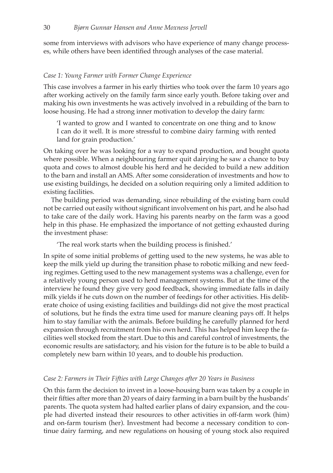some from interviews with advisors who have experience of many change processes, while others have been identified through analyses of the case material.

## *Case 1: Young Farmer with Former Change Experience*

This case involves a farmer in his early thirties who took over the farm 10 years ago after working actively on the family farm since early youth. Before taking over and making his own investments he was actively involved in a rebuilding of the barn to loose housing. He had a strong inner motivation to develop the dairy farm:

'I wanted to grow and I wanted to concentrate on one thing and to know I can do it well. It is more stressful to combine dairy farming with rented land for grain production.'

On taking over he was looking for a way to expand production, and bought quota where possible. When a neighbouring farmer quit dairying he saw a chance to buy quota and cows to almost double his herd and he decided to build a new addition to the barn and install an AMS. After some consideration of investments and how to use existing buildings, he decided on a solution requiring only a limited addition to existing facilities.

The building period was demanding, since rebuilding of the existing barn could not be carried out easily without significant involvement on his part, and he also had to take care of the daily work. Having his parents nearby on the farm was a good help in this phase. He emphasized the importance of not getting exhausted during the investment phase:

'The real work starts when the building process is finished.'

In spite of some initial problems of getting used to the new systems, he was able to keep the milk yield up during the transition phase to robotic milking and new feeding regimes. Getting used to the new management systems was a challenge, even for a relatively young person used to herd management systems. But at the time of the interview he found they give very good feedback, showing immediate falls in daily milk yields if he cuts down on the number of feedings for other activities. His deliberate choice of using existing facilities and buildings did not give the most practical of solutions, but he finds the extra time used for manure cleaning pays off. It helps him to stay familiar with the animals. Before building he carefully planned for herd expansion through recruitment from his own herd. This has helped him keep the facilities well stocked from the start. Due to this and careful control of investments, the economic results are satisfactory, and his vision for the future is to be able to build a completely new barn within 10 years, and to double his production.

#### *Case 2: Farmers in Their Fifties with Large Changes after 20 Years in Business*

On this farm the decision to invest in a loose-housing barn was taken by a couple in their fifties after more than 20 years of dairy farming in a barn built by the husbands' parents. The quota system had halted earlier plans of dairy expansion, and the couple had diverted instead their resources to other activities in off-farm work (him) and on-farm tourism (her). Investment had become a necessary condition to continue dairy farming, and new regulations on housing of young stock also required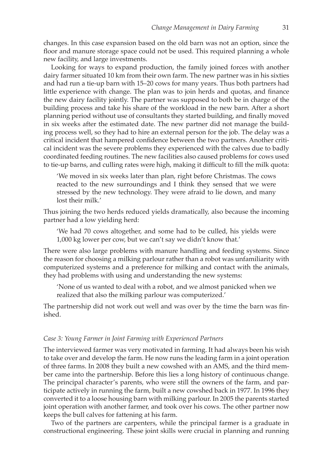changes. In this case expansion based on the old barn was not an option, since the floor and manure storage space could not be used. This required planning a whole new facility, and large investments.

Looking for ways to expand production, the family joined forces with another dairy farmer situated 10 km from their own farm. The new partner was in his sixties and had run a tie-up barn with 15–20 cows for many years. Thus both partners had little experience with change. The plan was to join herds and quotas, and finance the new dairy facility jointly. The partner was supposed to both be in charge of the building process and take his share of the workload in the new barn. After a short planning period without use of consultants they started building, and finally moved in six weeks after the estimated date. The new partner did not manage the building process well, so they had to hire an external person for the job. The delay was a critical incident that hampered confidence between the two partners. Another critical incident was the severe problems they experienced with the calves due to badly coordinated feeding routines. The new facilities also caused problems for cows used to tie-up barns, and culling rates were high, making it difficult to fill the milk quota:

'We moved in six weeks later than plan, right before Christmas. The cows reacted to the new surroundings and I think they sensed that we were stressed by the new technology. They were afraid to lie down, and many lost their milk.'

Thus joining the two herds reduced yields dramatically, also because the incoming partner had a low yielding herd:

'We had 70 cows altogether, and some had to be culled, his yields were 1,000 kg lower per cow, but we can't say we didn't know that.'

There were also large problems with manure handling and feeding systems. Since the reason for choosing a milking parlour rather than a robot was unfamiliarity with computerized systems and a preference for milking and contact with the animals, they had problems with using and understanding the new systems:

'None of us wanted to deal with a robot, and we almost panicked when we realized that also the milking parlour was computerized.'

The partnership did not work out well and was over by the time the barn was finished.

#### *Case 3: Young Farmer in Joint Farming with Experienced Partners*

The interviewed farmer was very motivated in farming. It had always been his wish to take over and develop the farm. He now runs the leading farm in a joint operation of three farms. In 2008 they built a new cowshed with an AMS, and the third member came into the partnership. Before this lies a long history of continuous change. The principal character's parents, who were still the owners of the farm, and participate actively in running the farm, built a new cowshed back in 1977. In 1996 they converted it to a loose housing barn with milking parlour. In 2005 the parents started joint operation with another farmer, and took over his cows. The other partner now keeps the bull calves for fattening at his farm.

Two of the partners are carpenters, while the principal farmer is a graduate in constructional engineering. These joint skills were crucial in planning and running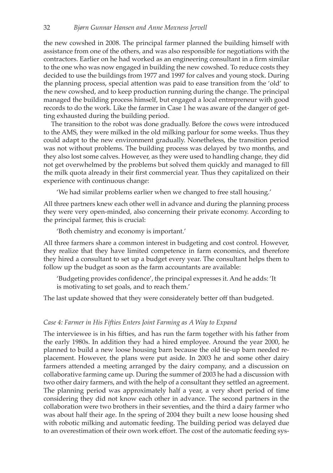the new cowshed in 2008. The principal farmer planned the building himself with assistance from one of the others, and was also responsible for negotiations with the contractors. Earlier on he had worked as an engineering consultant in a firm similar to the one who was now engaged in building the new cowshed. To reduce costs they decided to use the buildings from 1977 and 1997 for calves and young stock. During the planning process, special attention was paid to ease transition from the 'old' to the new cowshed, and to keep production running during the change. The principal managed the building process himself, but engaged a local entrepreneur with good records to do the work. Like the farmer in Case 1 he was aware of the danger of getting exhausted during the building period.

The transition to the robot was done gradually. Before the cows were introduced to the AMS, they were milked in the old milking parlour for some weeks. Thus they could adapt to the new environment gradually. Nonetheless, the transition period was not without problems. The building process was delayed by two months, and they also lost some calves. However, as they were used to handling change, they did not get overwhelmed by the problems but solved them quickly and managed to fill the milk quota already in their first commercial year. Thus they capitalized on their experience with continuous change:

'We had similar problems earlier when we changed to free stall housing.'

All three partners knew each other well in advance and during the planning process they were very open-minded, also concerning their private economy. According to the principal farmer, this is crucial:

'Both chemistry and economy is important.'

All three farmers share a common interest in budgeting and cost control. However, they realize that they have limited competence in farm economics, and therefore they hired a consultant to set up a budget every year. The consultant helps them to follow up the budget as soon as the farm accountants are available:

'Budgeting provides confidence', the principal expresses it. And he adds: 'It is motivating to set goals, and to reach them.'

The last update showed that they were considerately better off than budgeted.

## *Case 4: Farmer in His Fifties Enters Joint Farming as A Way to Expand*

The interviewee is in his fifties, and has run the farm together with his father from the early 1980s. In addition they had a hired employee. Around the year 2000, he planned to build a new loose housing barn because the old tie-up barn needed replacement. However, the plans were put aside. In 2003 he and some other dairy farmers attended a meeting arranged by the dairy company, and a discussion on collaborative farming came up. During the summer of 2003 he had a discussion with two other dairy farmers, and with the help of a consultant they settled an agreement. The planning period was approximately half a year, a very short period of time considering they did not know each other in advance. The second partners in the collaboration were two brothers in their seventies, and the third a dairy farmer who was about half their age. In the spring of 2004 they built a new loose housing shed with robotic milking and automatic feeding. The building period was delayed due to an overestimation of their own work effort. The cost of the automatic feeding sys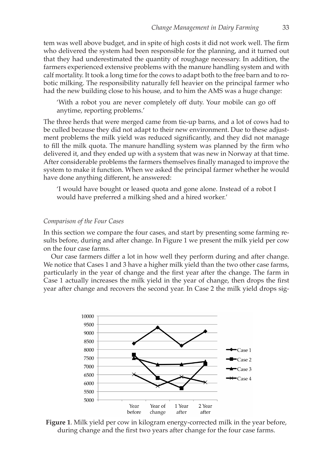tem was well above budget, and in spite of high costs it did not work well. The firm who delivered the system had been responsible for the planning, and it turned out that they had underestimated the quantity of roughage necessary. In addition, the farmers experienced extensive problems with the manure handling system and with calf mortality. It took a long time for the cows to adapt both to the free barn and to robotic milking. The responsibility naturally fell heavier on the principal farmer who had the new building close to his house, and to him the AMS was a huge change:

'With a robot you are never completely off duty. Your mobile can go off anytime, reporting problems.'

The three herds that were merged came from tie-up barns, and a lot of cows had to be culled because they did not adapt to their new environment. Due to these adjustment problems the milk yield was reduced significantly, and they did not manage to fill the milk quota. The manure handling system was planned by the firm who delivered it, and they ended up with a system that was new in Norway at that time. After considerable problems the farmers themselves finally managed to improve the system to make it function. When we asked the principal farmer whether he would have done anything different, he answered:

'I would have bought or leased quota and gone alone. Instead of a robot I would have preferred a milking shed and a hired worker.'

#### *Comparison of the Four Cases*

In this section we compare the four cases, and start by presenting some farming results before, during and after change. In Figure 1 we present the milk yield per cow on the four case farms.

Our case farmers differ a lot in how well they perform during and after change. We notice that Cases 1 and 3 have a higher milk yield than the two other case farms, particularly in the year of change and the first year after the change. The farm in Case 1 actually increases the milk yield in the year of change, then drops the first year after change and recovers the second year. In Case 2 the milk yield drops sig-



**Figure 1**. Milk yield per cow in kilogram energy-corrected milk in the year before, during change and the first two years after change for the four case farms.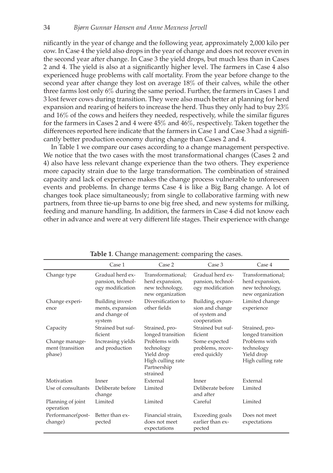nificantly in the year of change and the following year, approximately 2,000 kilo per cow. In Case 4 the yield also drops in the year of change and does not recover even in the second year after change. In Case 3 the yield drops, but much less than in Cases 2 and 4. The yield is also at a significantly higher level. The farmers in Case 4 also experienced huge problems with calf mortality. From the year before change to the second year after change they lost on average 18% of their calves, while the other three farms lost only 6% during the same period. Further, the farmers in Cases 1 and 3 lost fewer cows during transition. They were also much better at planning for herd expansion and rearing of heifers to increase the herd. Thus they only had to buy 23% and 16% of the cows and heifers they needed, respectively, while the similar figures for the farmers in Cases 2 and 4 were 45% and 46%, respectively. Taken together the differences reported here indicate that the farmers in Case 1 and Case 3 had a significantly better production economy during change than Cases 2 and 4.

In Table 1 we compare our cases according to a change management perspective. We notice that the two cases with the most transformational changes (Cases 2 and 4) also have less relevant change experience than the two others. They experience more capacity strain due to the large transformation. The combination of strained capacity and lack of experience makes the change process vulnerable to unforeseen events and problems. In change terms Case 4 is like a Big Bang change. A lot of changes took place simultaneously; from single to collaborative farming with new partners, from three tie-up barns to one big free shed, and new systems for milking, feeding and manure handling. In addition, the farmers in Case 4 did not know each other in advance and were at very different life stages. Their experience with change

|                                              | Case 1                                                          | Case 2                                                                                    | Case 3                                                              | Case 4                                                                      |
|----------------------------------------------|-----------------------------------------------------------------|-------------------------------------------------------------------------------------------|---------------------------------------------------------------------|-----------------------------------------------------------------------------|
| Change type                                  | Gradual herd ex-<br>pansion, technol-<br>ogy modification       | Transformational;<br>herd expansion,<br>new technology,<br>new organization               | Gradual herd ex-<br>pansion, technol-<br>ogy modification           | Transformational:<br>herd expansion,<br>new technology,<br>new organization |
| Change experi-<br>ence                       | Building invest-<br>ments, expansion<br>and change of<br>system | Diversification to<br>other fields                                                        | Building, expan-<br>sion and change<br>of system and<br>cooperation | Limited change<br>experience                                                |
| Capacity                                     | Strained but suf-<br>ficient                                    | Strained, pro-<br>longed transition                                                       | Strained but suf-<br>ficient                                        | Strained, pro-<br>longed transition                                         |
| Change manage-<br>ment (transition<br>phase) | Increasing yields<br>and production                             | Problems with<br>technology<br>Yield drop<br>High culling rate<br>Partnership<br>strained | Some expected<br>problems, recov-<br>ered quickly                   | Problems with<br>technology<br>Yield drop<br>High culling rate              |
| Motivation                                   | Inner                                                           | External                                                                                  | Inner                                                               | External                                                                    |
| Use of consultants                           | Deliberate before<br>change                                     | Limited                                                                                   | Deliberate before<br>and after                                      | Limited                                                                     |
| Planning of joint<br>operation               | Limited                                                         | Limited                                                                                   | Careful                                                             | Limited                                                                     |
| Performance(post-<br>change)                 | Better than ex-<br>pected                                       | Financial strain,<br>does not meet<br>expectations                                        | Exceeding goals<br>earlier than ex-<br>pected                       | Does not meet<br>expectations                                               |

**Table 1**. Change management: comparing the cases.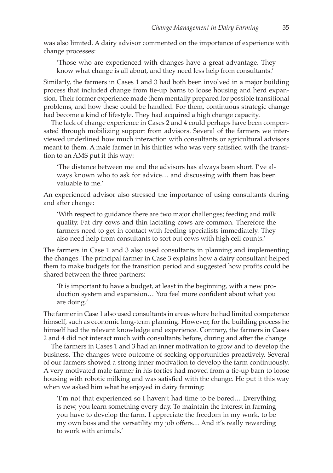was also limited. A dairy advisor commented on the importance of experience with change processes:

'Those who are experienced with changes have a great advantage. They know what change is all about, and they need less help from consultants.'

Similarly, the farmers in Cases 1 and 3 had both been involved in a major building process that included change from tie-up barns to loose housing and herd expansion. Their former experience made them mentally prepared for possible transitional problems, and how these could be handled. For them, continuous strategic change had become a kind of lifestyle. They had acquired a high change capacity.

The lack of change experience in Cases 2 and 4 could perhaps have been compensated through mobilizing support from advisors. Several of the farmers we interviewed underlined how much interaction with consultants or agricultural advisors meant to them. A male farmer in his thirties who was very satisfied with the transition to an AMS put it this way:

'The distance between me and the advisors has always been short. I've always known who to ask for advice… and discussing with them has been valuable to me.'

An experienced advisor also stressed the importance of using consultants during and after change:

'With respect to guidance there are two major challenges; feeding and milk quality. Fat dry cows and thin lactating cows are common. Therefore the farmers need to get in contact with feeding specialists immediately. They also need help from consultants to sort out cows with high cell counts.'

The farmers in Case 1 and 3 also used consultants in planning and implementing the changes. The principal farmer in Case 3 explains how a dairy consultant helped them to make budgets for the transition period and suggested how profits could be shared between the three partners:

'It is important to have a budget, at least in the beginning, with a new production system and expansion… You feel more confident about what you are doing.'

The farmer in Case 1 also used consultants in areas where he had limited competence himself, such as economic long-term planning. However, for the building process he himself had the relevant knowledge and experience. Contrary, the farmers in Cases 2 and 4 did not interact much with consultants before, during and after the change.

The farmers in Cases 1 and 3 had an inner motivation to grow and to develop the business. The changes were outcome of seeking opportunities proactively. Several of our farmers showed a strong inner motivation to develop the farm continuously. A very motivated male farmer in his forties had moved from a tie-up barn to loose housing with robotic milking and was satisfied with the change. He put it this way when we asked him what he enjoyed in dairy farming:

'I'm not that experienced so I haven't had time to be bored… Everything is new, you learn something every day. To maintain the interest in farming you have to develop the farm. I appreciate the freedom in my work, to be my own boss and the versatility my job offers… And it's really rewarding to work with animals.'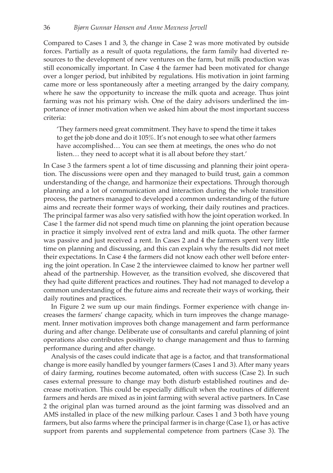Compared to Cases 1 and 3, the change in Case 2 was more motivated by outside forces. Partially as a result of quota regulations, the farm family had diverted resources to the development of new ventures on the farm, but milk production was still economically important. In Case 4 the farmer had been motivated for change over a longer period, but inhibited by regulations. His motivation in joint farming came more or less spontaneously after a meeting arranged by the dairy company, where he saw the opportunity to increase the milk quota and acreage. Thus joint farming was not his primary wish. One of the dairy advisors underlined the importance of inner motivation when we asked him about the most important success criteria:

'They farmers need great commitment. They have to spend the time it takes to get the job done and do it 105%. It's not enough to see what other farmers have accomplished… You can see them at meetings, the ones who do not listen… they need to accept what it is all about before they start.'

In Case 3 the farmers spent a lot of time discussing and planning their joint operation. The discussions were open and they managed to build trust, gain a common understanding of the change, and harmonize their expectations. Through thorough planning and a lot of communication and interaction during the whole transition process, the partners managed to developed a common understanding of the future aims and recreate their former ways of working, their daily routines and practices. The principal farmer was also very satisfied with how the joint operation worked. In Case 1 the farmer did not spend much time on planning the joint operation because in practice it simply involved rent of extra land and milk quota. The other farmer was passive and just received a rent. In Cases 2 and 4 the farmers spent very little time on planning and discussing, and this can explain why the results did not meet their expectations. In Case 4 the farmers did not know each other well before entering the joint operation. In Case 2 the interviewee claimed to know her partner well ahead of the partnership. However, as the transition evolved, she discovered that they had quite different practices and routines. They had not managed to develop a common understanding of the future aims and recreate their ways of working, their daily routines and practices.

In Figure 2 we sum up our main findings. Former experience with change increases the farmers' change capacity, which in turn improves the change management. Inner motivation improves both change management and farm performance during and after change. Deliberate use of consultants and careful planning of joint operations also contributes positively to change management and thus to farming performance during and after change.

Analysis of the cases could indicate that age is a factor, and that transformational change is more easily handled by younger farmers (Cases 1 and 3). After many years of dairy farming, routines become automated, often with success (Case 2). In such cases external pressure to change may both disturb established routines and decrease motivation. This could be especially difficult when the routines of different farmers and herds are mixed as in joint farming with several active partners. In Case 2 the original plan was turned around as the joint farming was dissolved and an AMS installed in place of the new milking parlour. Cases 1 and 3 both have young farmers, but also farms where the principal farmer is in charge (Case 1), or has active support from parents and supplemental competence from partners (Case 3). The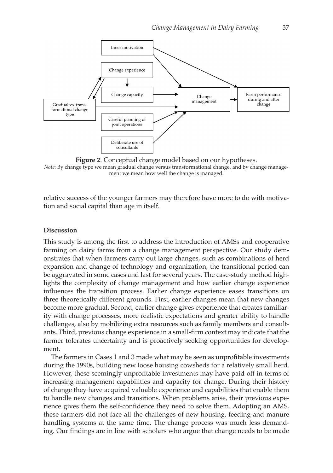

**Figure 2**. Conceptual change model based on our hypotheses. *Note*: By change type we mean gradual change versus transformational change, and by change management we mean how well the change is managed.

relative success of the younger farmers may therefore have more to do with motivation and social capital than age in itself.

#### **Discussion**

This study is among the first to address the introduction of AMSs and cooperative farming on dairy farms from a change management perspective. Our study demonstrates that when farmers carry out large changes, such as combinations of herd expansion and change of technology and organization, the transitional period can be aggravated in some cases and last for several years. The case-study method highlights the complexity of change management and how earlier change experience influences the transition process. Earlier change experience eases transitions on three theoretically different grounds. First, earlier changes mean that new changes become more gradual. Second, earlier change gives experience that creates familiarity with change processes, more realistic expectations and greater ability to handle challenges, also by mobilizing extra resources such as family members and consultants. Third, previous change experience in a small-firm context may indicate that the farmer tolerates uncertainty and is proactively seeking opportunities for development.

The farmers in Cases 1 and 3 made what may be seen as unprofitable investments during the 1990s, building new loose housing cowsheds for a relatively small herd. However, these seemingly unprofitable investments may have paid off in terms of increasing management capabilities and capacity for change. During their history of change they have acquired valuable experience and capabilities that enable them to handle new changes and transitions. When problems arise, their previous experience gives them the self-confidence they need to solve them. Adopting an AMS, these farmers did not face all the challenges of new housing, feeding and manure handling systems at the same time. The change process was much less demanding. Our findings are in line with scholars who argue that change needs to be made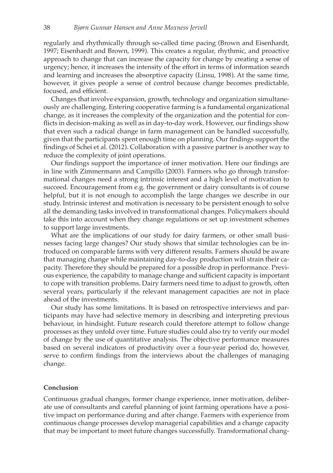regularly and rhythmically through so-called time pacing (Brown and Eisenhardt, 1997; Eisenhardt and Brown, 1999). This creates a regular, rhythmic, and proactive approach to change that can increase the capacity for change by creating a sense of urgency; hence, it increases the intensity of the effort in terms of information search and learning and increases the absorptive capacity (Linsu, 1998). At the same time, however, it gives people a sense of control because change becomes predictable, focused, and efficient.

Changes that involve expansion, growth, technology and organization simultaneously are challenging. Entering cooperative farming is a fundamental organizational change, as it increases the complexity of the organization and the potential for conflicts in decision-making as well as in day-to-day work. However, our findings show that even such a radical change in farm management can be handled successfully, given that the participants spent enough time on planning. Our findings support the findings of Schei et al. (2012). Collaboration with a passive partner is another way to reduce the complexity of joint operations.

Our findings support the importance of inner motivation. Here our findings are in line with Zimmermann and Campillo (2003). Farmers who go through transformational changes need a strong intrinsic interest and a high level of motivation to succeed. Encouragement from e.g. the government or dairy consultants is of course helpful, but it is not enough to accomplish the large changes we describe in our study. Intrinsic interest and motivation is necessary to be persistent enough to solve all the demanding tasks involved in transformational changes. Policymakers should take this into account when they change regulations or set up investment schemes to support large investments.

What are the implications of our study for dairy farmers, or other small businesses facing large changes? Our study shows that similar technologies can be introduced on comparable farms with very different results. Farmers should be aware that managing change while maintaining day-to-day production will strain their capacity. Therefore they should be prepared for a possible drop in performance. Previous experience, the capability to manage change and sufficient capacity is important to cope with transition problems. Dairy farmers need time to adjust to growth, often several years, particularly if the relevant management capacities are not in place ahead of the investments.

Our study has some limitations. It is based on retrospective interviews and participants may have had selective memory in describing and interpreting previous behaviour, in hindsight. Future research could therefore attempt to follow change processes as they unfold over time. Future studies could also try to verify our model of change by the use of quantitative analysis. The objective performance measures based on several indicators of productivity over a four-year period do, however, serve to confirm findings from the interviews about the challenges of managing change.

#### **Conclusion**

Continuous gradual changes, former change experience, inner motivation, deliberate use of consultants and careful planning of joint farming operations have a positive impact on performance during and after change. Farmers with experience from continuous change processes develop managerial capabilities and a change capacity that may be important to meet future changes successfully. Transformational chang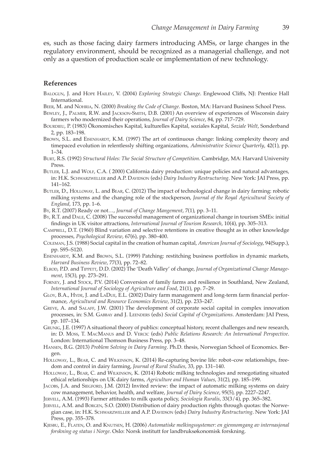es, such as those facing dairy farmers introducing AMSs, or large changes in the regulatory environment, should be recognized as a managerial challenge, and not only as a question of production scale or implementation of new technology.

#### **References**

- Balogun, J. and Hope Hailey, V. (2004) *Exploring Strategic Change*. Englewood Cliffs, NJ: Prentice Hall International.
- Beer, M. and Nohria, N. (2000) *Breaking the Code of Change*. Boston, MA: Harvard Business School Press.
- Bewley, J., Palmer, R.W. and Jackson-Smith, D.B. (2001) An overview of experiences of Wisconsin dairy farmers who modernized their operations, *Journal of Dairy Science*, 84, pp. 717–729.
- Bourdieu, P. (1983) Ökonomisches Kapital, kulturelles Kapital, soziales Kapital, *Soziale Welt*, Sonderband 2, pp. 183–198.
- BROWN, S.L. and EISENHARDT, K.M. (1997) The art of continuous change: linking complexity theory and timepaced evolution in relentlessly shifting organizations, *Administrative Science Quarterly*, 42(1), pp. 1–34.
- Burt, R.S. (1992) *Structural Holes: The Social Structure of Competition*. Cambridge, MA: Harvard University Press.
- BUTLER, L.J. and WOLF, C.A. (2000) California dairy production: unique policies and natural advantages, in: H.K. SCHWARZWELLER and A.P. DAVIDSON (eds) *Dairy Industry Restructuring*. New York: JAI Press, pp. 141–162.
- Butler, D., Holloway, L. and Bear, C. (2012) The impact of technological change in dairy farming: robotic milking systems and the changing role of the stockperson, *Journal of the Royal Agricultural Society of England*, 173, pp. 1–6.
- By, R.T. (2007) Ready or not…, *Journal of Change Mangement*, 7(1), pp. 3–11.
- By, R.T. and Dale, C. (2008) The successful management of organizational change in tourism SMEs: initial findings in UK visitor attractions, *International Journal of Tourism Research*, 10(4), pp. 305–313.
- Campbell, D.T. (1960) Blind variation and selective retentions in creative thought as in other knowledge processes, *Psychological Review*, 67(6), pp. 380–400.
- Coleman, J.S. (1988) Social capital in the creation of human capital, *American Journal of Sociology*, 94(Supp.), pp. S95–S120.
- EISENHARDT, K.M. and BROWN, S.L. (1999) Patching: restitching business portfolios in dynamic markets, *Harvard Business Review*, 77(3), pp. 72–82.
- Elrod, P.D. and Tippett, D.D. (2002) The 'Death Valley' of change, *Journal of Organizational Change Management*, 15(3), pp. 273–291.
- Forney, J. and Stock, P.V. (2014) Conversion of family farms and resilience in Southland, New Zealand, *International Journal of Sociology of Agriculture and Food*, 21(1), pp. 7–29.
- Gloy, B.A., Hyde, J. and LaDue, E.L. (2002) Dairy farm management and long-term farm financial performance, *Agricultural and Resource Economics Review*, 31(2), pp. 233–247.
- Greve, A. and Salaff, J.W. (2001) The development of corporate social capital in complex innovation processes, in: S.M. Gabbay and J. Leenders (eds) *Social Capital of Organizations*. Amsterdam: JAI Press, pp. 107–134.
- Grunig, J.E. (1997) A situational theory of publics: conceptual history, recent challenges and new research, in: D. Moss, T. MacManus and D. Vercic (eds) *Public Relations Research: An International Perspective*. London: International Thomson Business Press, pp. 3–48.
- Hansen, B.G. (2013) *Problem Solving in Dairy Farming*. Ph.D. thesis, Norwegian School of Economics. Bergen.
- Holloway, L., Bear, C. and Wilkinson, K. (2014) Re-capturing bovine life: robot–cow relationships, freedom and control in dairy farming, *Journal of Rural Studies*, 33, pp. 131–140.
- Holloway, L., Bear, C. and Wilkinson, K. (2014) Robotic milking technologies and renegotiating situated ethical relationships on UK dairy farms, *Agriculture and Human Values*, 31(2), pp. 185–199.
- JACOBS, J.A. and SIEGFORD, J.M. (2012) Invited review: the impact of automatic milking systems on dairy cow management, behavior, health, and welfare, *Journal of Dairy Science*, 95(5), pp. 2227–2247.
- Jervell, A.M. (1993) Farmer attitudes to milk quota policy, *Sociologia Ruralis*, 33(3/4), pp. 365–382.
- Jervell, A.M. and Borgen, S.O. (2000) Distribution of dairy production rights through quotas: the Norwegian case, in: H.K. SCHWARZWELLER and A.P. DAVIDSON (eds) *Dairy Industry Restructuring*. New York: JAI Press, pp. 355–378.
- Kjesbu, E., Flaten, O. and Knutsen, H. (2006) *Automatiske melkingssystemer: en gjennomgang av internasjonal forskning og status i Norge*. Oslo: Norsk institutt for landbruksøkonomisk forskning.